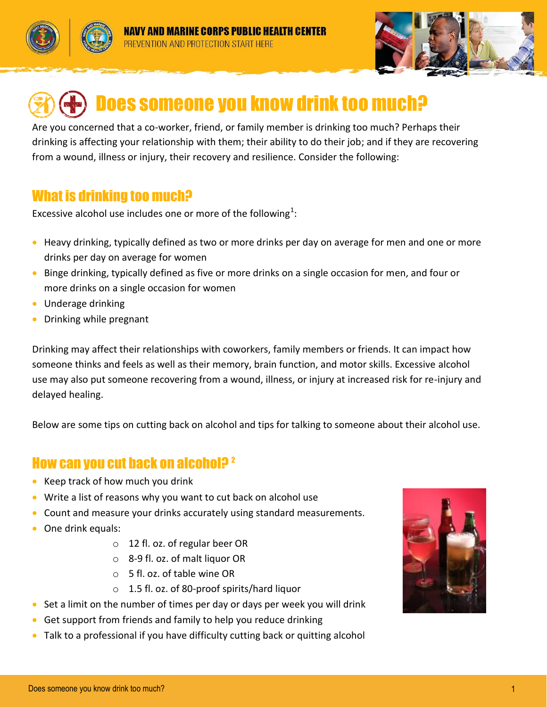



# Does someone you know drink too much?

Are you concerned that a co-worker, friend, or family member is drinking too much? Perhaps their drinking is affecting your relationship with them; their ability to do their job; and if they are recovering from a wound, illness or injury, their recovery and resilience. Consider the following:

# What is drinking too much?

Excessive alcohol use includes one or more of the following<sup>1</sup>:

- **•** Heavy drinking, typically defined as two or more drinks per day on average for men and one or more drinks per day on average for women
- Binge drinking, typically defined as five or more drinks on a single occasion for men, and four or more drinks on a single occasion for women
- Underage drinking
- Drinking while pregnant

Drinking may affect their relationships with coworkers, family members or friends. It can impact how someone thinks and feels as well as their memory, brain function, and motor skills. Excessive alcohol use may also put someone recovering from a wound, illness, or injury at increased risk for re-injury and delayed healing.

Below are some tips on cutting back on alcohol and tips for talking to someone about their alcohol use.

### How can you cut back on alcohol? <sup>2</sup>

- $\bullet$  Keep track of how much you drink
- Write a list of reasons why you want to cut back on alcohol use
- Count and measure your drinks accurately using standard measurements.
- One drink equals:
	- o 12 fl. oz. of regular beer OR
	- o 8-9 fl. oz. of malt liquor OR
	- o 5 fl. oz. of table wine OR
	- o 1.5 fl. oz. of 80-proof spirits/hard liquor
- Set a limit on the number of times per day or days per week you will drink
- Get support from friends and family to help you reduce drinking
- Talk to a professional if you have difficulty cutting back or quitting alcohol